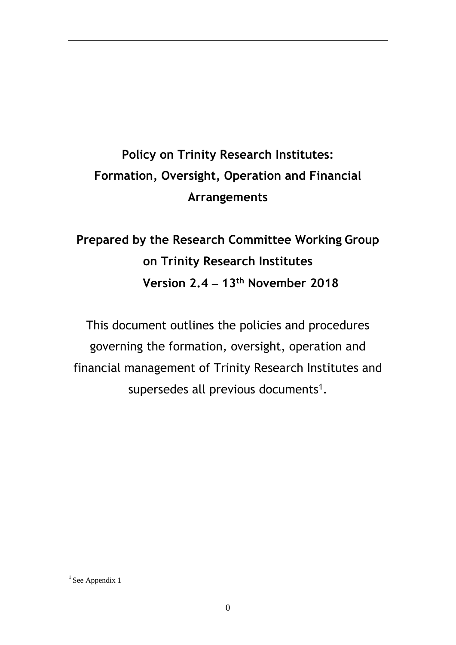# **Policy on Trinity Research Institutes: Formation, Oversight, Operation and Financial Arrangements**

# **Prepared by the Research Committee Working Group on Trinity Research Institutes Version 2.4 – 13th November 2018**

This document outlines the policies and procedures governing the formation, oversight, operation and financial management of Trinity Research Institutes and supersedes all previous documents<sup>1</sup>.

 $1$  See Appendix 1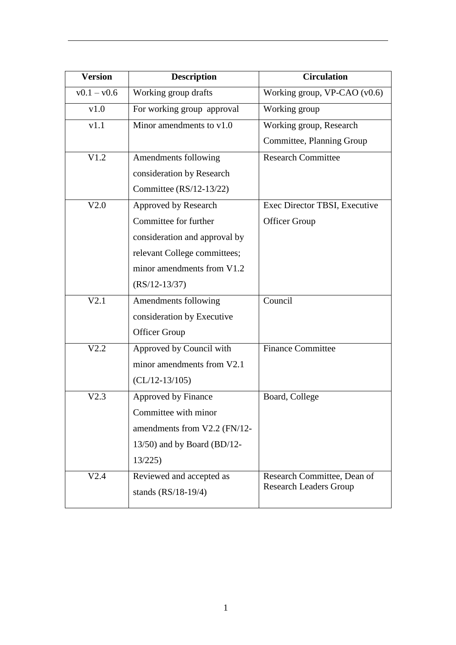| <b>Version</b> | <b>Description</b>             | <b>Circulation</b>            |
|----------------|--------------------------------|-------------------------------|
| $v0.1 - v0.6$  | Working group drafts           | Working group, VP-CAO (v0.6)  |
| v1.0           | For working group approval     | Working group                 |
| v1.1           | Minor amendments to v1.0       | Working group, Research       |
|                |                                | Committee, Planning Group     |
| V1.2           | Amendments following           | <b>Research Committee</b>     |
|                | consideration by Research      |                               |
|                | Committee $(RS/12-13/22)$      |                               |
| V2.0           | Approved by Research           | Exec Director TBSI, Executive |
|                | Committee for further          | <b>Officer Group</b>          |
|                | consideration and approval by  |                               |
|                | relevant College committees;   |                               |
|                | minor amendments from V1.2     |                               |
|                | $(RS/12-13/37)$                |                               |
| V2.1           | Amendments following           | Council                       |
|                | consideration by Executive     |                               |
|                | <b>Officer Group</b>           |                               |
| V2.2           | Approved by Council with       | <b>Finance Committee</b>      |
|                | minor amendments from V2.1     |                               |
|                | $CL/12-13/105)$                |                               |
| V2.3           | Approved by Finance            | Board, College                |
|                | Committee with minor           |                               |
|                | amendments from V2.2 (FN/12-   |                               |
|                | $13/50$ ) and by Board (BD/12- |                               |
|                | 13/225                         |                               |
| V2.4           | Reviewed and accepted as       | Research Committee, Dean of   |
|                | stands $(RS/18-19/4)$          | <b>Research Leaders Group</b> |
|                |                                |                               |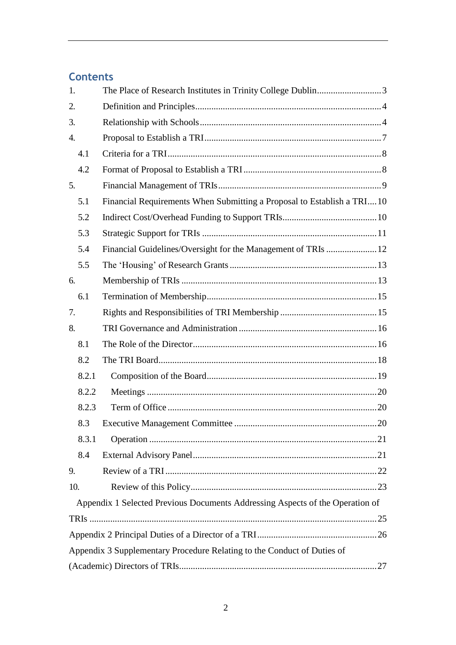# **Contents**

| 1.               | The Place of Research Institutes in Trinity College Dublin3                   |  |
|------------------|-------------------------------------------------------------------------------|--|
| 2.               |                                                                               |  |
| 3.               |                                                                               |  |
| $\overline{4}$ . |                                                                               |  |
| 4.1              |                                                                               |  |
| 4.2              |                                                                               |  |
| 5.               |                                                                               |  |
| 5.1              | Financial Requirements When Submitting a Proposal to Establish a TRI10        |  |
| 5.2              |                                                                               |  |
| 5.3              |                                                                               |  |
| 5.4              | Financial Guidelines/Oversight for the Management of TRIs  12                 |  |
| 5.5              |                                                                               |  |
| 6.               |                                                                               |  |
| 6.1              |                                                                               |  |
| 7.               |                                                                               |  |
| 8.               |                                                                               |  |
| 8.1              |                                                                               |  |
| 8.2              |                                                                               |  |
| 8.2.1            |                                                                               |  |
| 8.2.2            |                                                                               |  |
| 8.2.3            |                                                                               |  |
| 8.3              |                                                                               |  |
| 8.3.1            |                                                                               |  |
| 8.4              |                                                                               |  |
| 9.               |                                                                               |  |
| 10.              |                                                                               |  |
|                  | Appendix 1 Selected Previous Documents Addressing Aspects of the Operation of |  |
|                  |                                                                               |  |
|                  |                                                                               |  |
|                  | Appendix 3 Supplementary Procedure Relating to the Conduct of Duties of       |  |
|                  |                                                                               |  |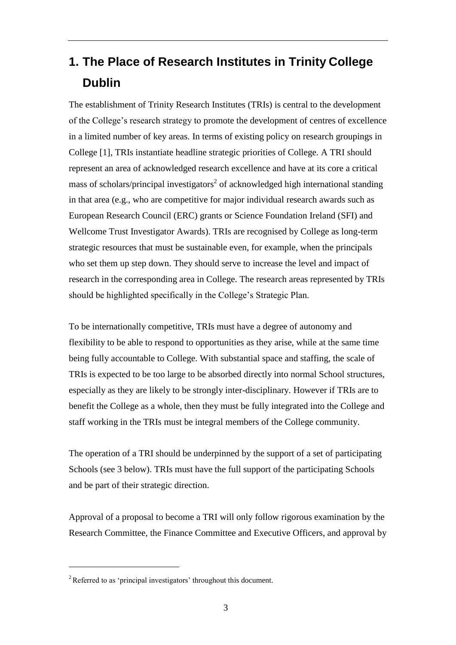# <span id="page-3-0"></span>**1. The Place of Research Institutes in Trinity College Dublin**

The establishment of Trinity Research Institutes (TRIs) is central to the development of the College's research strategy to promote the development of centres of excellence in a limited number of key areas. In terms of existing policy on research groupings in College [1], TRIs instantiate headline strategic priorities of College. A TRI should represent an area of acknowledged research excellence and have at its core a critical mass of scholars/principal investigators<sup>2</sup> of acknowledged high international standing in that area (e.g., who are competitive for major individual research awards such as European Research Council (ERC) grants or Science Foundation Ireland (SFI) and Wellcome Trust Investigator Awards). TRIs are recognised by College as long-term strategic resources that must be sustainable even, for example, when the principals who set them up step down. They should serve to increase the level and impact of research in the corresponding area in College. The research areas represented by TRIs should be highlighted specifically in the College's Strategic Plan.

To be internationally competitive, TRIs must have a degree of autonomy and flexibility to be able to respond to opportunities as they arise, while at the same time being fully accountable to College. With substantial space and staffing, the scale of TRIs is expected to be too large to be absorbed directly into normal School structures, especially as they are likely to be strongly inter-disciplinary. However if TRIs are to benefit the College as a whole, then they must be fully integrated into the College and staff working in the TRIs must be integral members of the College community.

The operation of a TRI should be underpinned by the support of a set of participating Schools (see 3 below). TRIs must have the full support of the participating Schools and be part of their strategic direction.

Approval of a proposal to become a TRI will only follow rigorous examination by the Research Committee, the Finance Committee and Executive Officers, and approval by

 $2$ Referred to as 'principal investigators' throughout this document.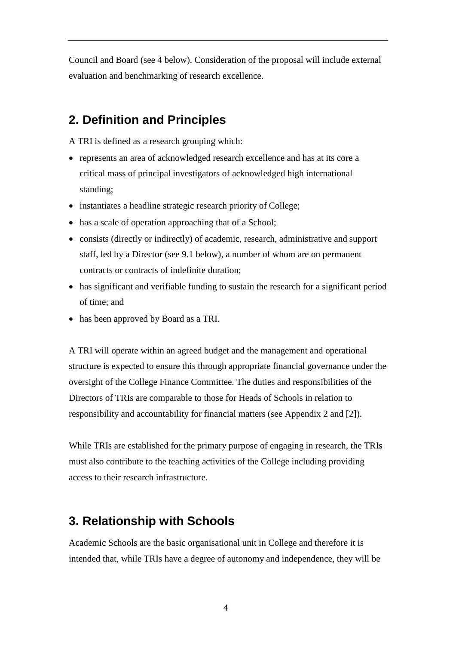Council and Board (see 4 below). Consideration of the proposal will include external evaluation and benchmarking of research excellence.

# <span id="page-4-0"></span>**2. Definition and Principles**

A TRI is defined as a research grouping which:

- represents an area of acknowledged research excellence and has at its core a critical mass of principal investigators of acknowledged high international standing;
- instantiates a headline strategic research priority of College;
- has a scale of operation approaching that of a School;
- consists (directly or indirectly) of academic, research, administrative and support staff, led by a Director (see 9.1 below), a number of whom are on permanent contracts or contracts of indefinite duration;
- has significant and verifiable funding to sustain the research for a significant period of time; and
- has been approved by Board as a TRI.

A TRI will operate within an agreed budget and the management and operational structure is expected to ensure this through appropriate financial governance under the oversight of the College Finance Committee. The duties and responsibilities of the Directors of TRIs are comparable to those for Heads of Schools in relation to responsibility and accountability for financial matters (see Appendix 2 and [2]).

While TRIs are established for the primary purpose of engaging in research, the TRIs must also contribute to the teaching activities of the College including providing access to their research infrastructure.

# <span id="page-4-1"></span>**3. Relationship with Schools**

Academic Schools are the basic organisational unit in College and therefore it is intended that, while TRIs have a degree of autonomy and independence, they will be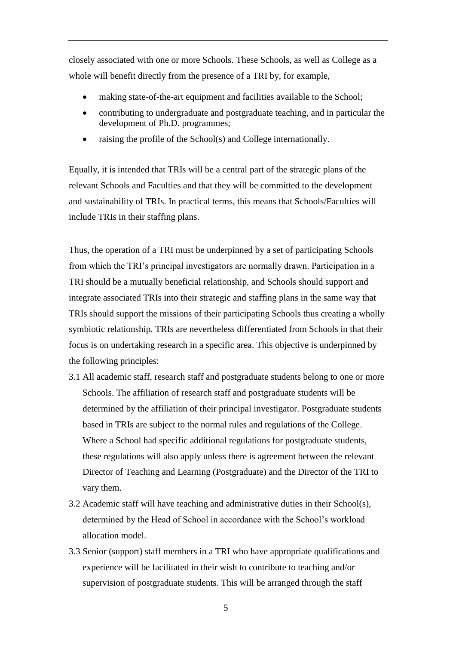closely associated with one or more Schools. These Schools, as well as College as a whole will benefit directly from the presence of a TRI by, for example,

- making state-of-the-art equipment and facilities available to the School;
- contributing to undergraduate and postgraduate teaching, and in particular the development of Ph.D. programmes;
- raising the profile of the School(s) and College internationally.

Equally, it is intended that TRIs will be a central part of the strategic plans of the relevant Schools and Faculties and that they will be committed to the development and sustainability of TRIs. In practical terms, this means that Schools/Faculties will include TRIs in their staffing plans.

Thus, the operation of a TRI must be underpinned by a set of participating Schools from which the TRI's principal investigators are normally drawn. Participation in a TRI should be a mutually beneficial relationship, and Schools should support and integrate associated TRIs into their strategic and staffing plans in the same way that TRIs should support the missions of their participating Schools thus creating a wholly symbiotic relationship. TRIs are nevertheless differentiated from Schools in that their focus is on undertaking research in a specific area. This objective is underpinned by the following principles:

- 3.1 All academic staff, research staff and postgraduate students belong to one or more Schools. The affiliation of research staff and postgraduate students will be determined by the affiliation of their principal investigator. Postgraduate students based in TRIs are subject to the normal rules and regulations of the College. Where a School had specific additional regulations for postgraduate students, these regulations will also apply unless there is agreement between the relevant Director of Teaching and Learning (Postgraduate) and the Director of the TRI to vary them.
- 3.2 Academic staff will have teaching and administrative duties in their School(s), determined by the Head of School in accordance with the School's workload allocation model.
- 3.3 Senior (support) staff members in a TRI who have appropriate qualifications and experience will be facilitated in their wish to contribute to teaching and/or supervision of postgraduate students. This will be arranged through the staff

5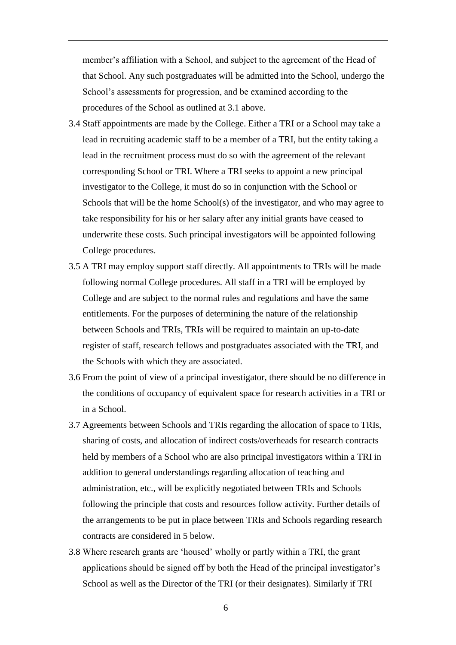member's affiliation with a School, and subject to the agreement of the Head of that School. Any such postgraduates will be admitted into the School, undergo the School's assessments for progression, and be examined according to the procedures of the School as outlined at 3.1 above.

- 3.4 Staff appointments are made by the College. Either a TRI or a School may take a lead in recruiting academic staff to be a member of a TRI, but the entity taking a lead in the recruitment process must do so with the agreement of the relevant corresponding School or TRI. Where a TRI seeks to appoint a new principal investigator to the College, it must do so in conjunction with the School or Schools that will be the home School(s) of the investigator, and who may agree to take responsibility for his or her salary after any initial grants have ceased to underwrite these costs. Such principal investigators will be appointed following College procedures.
- 3.5 A TRI may employ support staff directly. All appointments to TRIs will be made following normal College procedures. All staff in a TRI will be employed by College and are subject to the normal rules and regulations and have the same entitlements. For the purposes of determining the nature of the relationship between Schools and TRIs, TRIs will be required to maintain an up-to-date register of staff, research fellows and postgraduates associated with the TRI, and the Schools with which they are associated.
- 3.6 From the point of view of a principal investigator, there should be no difference in the conditions of occupancy of equivalent space for research activities in a TRI or in a School.
- 3.7 Agreements between Schools and TRIs regarding the allocation of space to TRIs, sharing of costs, and allocation of indirect costs/overheads for research contracts held by members of a School who are also principal investigators within a TRI in addition to general understandings regarding allocation of teaching and administration, etc., will be explicitly negotiated between TRIs and Schools following the principle that costs and resources follow activity. Further details of the arrangements to be put in place between TRIs and Schools regarding research contracts are considered in 5 below.
- 3.8 Where research grants are 'housed' wholly or partly within a TRI, the grant applications should be signed off by both the Head of the principal investigator's School as well as the Director of the TRI (or their designates). Similarly if TRI

6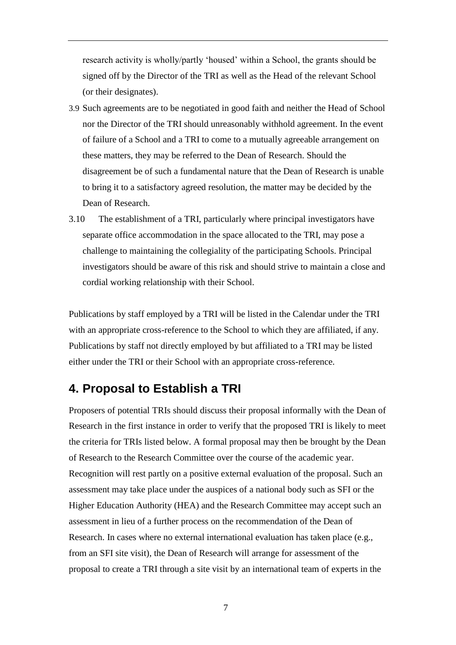research activity is wholly/partly 'housed' within a School, the grants should be signed off by the Director of the TRI as well as the Head of the relevant School (or their designates).

- 3.9 Such agreements are to be negotiated in good faith and neither the Head of School nor the Director of the TRI should unreasonably withhold agreement. In the event of failure of a School and a TRI to come to a mutually agreeable arrangement on these matters, they may be referred to the Dean of Research. Should the disagreement be of such a fundamental nature that the Dean of Research is unable to bring it to a satisfactory agreed resolution, the matter may be decided by the Dean of Research.
- 3.10 The establishment of a TRI, particularly where principal investigators have separate office accommodation in the space allocated to the TRI, may pose a challenge to maintaining the collegiality of the participating Schools. Principal investigators should be aware of this risk and should strive to maintain a close and cordial working relationship with their School.

Publications by staff employed by a TRI will be listed in the Calendar under the TRI with an appropriate cross-reference to the School to which they are affiliated, if any. Publications by staff not directly employed by but affiliated to a TRI may be listed either under the TRI or their School with an appropriate cross-reference.

## <span id="page-7-0"></span>**4. Proposal to Establish a TRI**

Proposers of potential TRIs should discuss their proposal informally with the Dean of Research in the first instance in order to verify that the proposed TRI is likely to meet the criteria for TRIs listed below. A formal proposal may then be brought by the Dean of Research to the Research Committee over the course of the academic year. Recognition will rest partly on a positive external evaluation of the proposal. Such an assessment may take place under the auspices of a national body such as SFI or the Higher Education Authority (HEA) and the Research Committee may accept such an assessment in lieu of a further process on the recommendation of the Dean of Research. In cases where no external international evaluation has taken place (e.g., from an SFI site visit), the Dean of Research will arrange for assessment of the proposal to create a TRI through a site visit by an international team of experts in the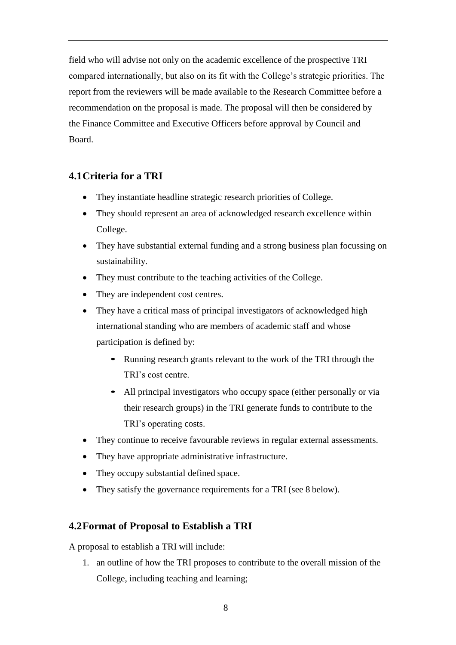field who will advise not only on the academic excellence of the prospective TRI compared internationally, but also on its fit with the College's strategic priorities. The report from the reviewers will be made available to the Research Committee before a recommendation on the proposal is made. The proposal will then be considered by the Finance Committee and Executive Officers before approval by Council and Board.

## <span id="page-8-0"></span>**4.1Criteria for a TRI**

- They instantiate headline strategic research priorities of College.
- They should represent an area of acknowledged research excellence within College.
- They have substantial external funding and a strong business plan focussing on sustainability.
- They must contribute to the teaching activities of the College.
- They are independent cost centres.
- They have a critical mass of principal investigators of acknowledged high international standing who are members of academic staff and whose participation is defined by:
	- Running research grants relevant to the work of the TRI through the TRI's cost centre.
	- All principal investigators who occupy space (either personally or via their research groups) in the TRI generate funds to contribute to the TRI's operating costs.
- They continue to receive favourable reviews in regular external assessments.
- They have appropriate administrative infrastructure.
- They occupy substantial defined space.
- They satisfy the governance requirements for a TRI (see 8 below).

### <span id="page-8-1"></span>**4.2Format of Proposal to Establish a TRI**

A proposal to establish a TRI will include:

1. an outline of how the TRI proposes to contribute to the overall mission of the College, including teaching and learning;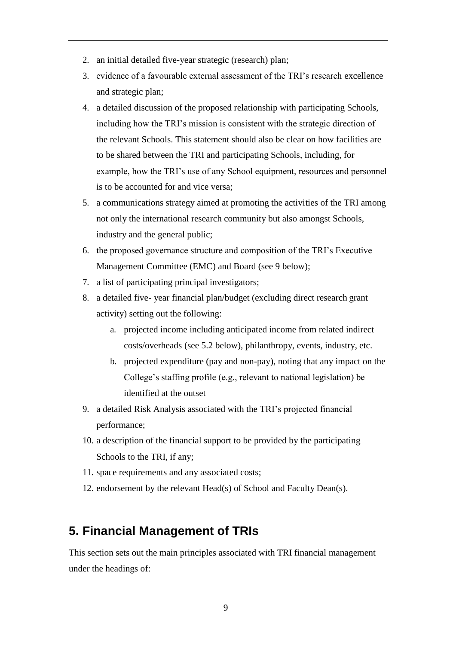- 2. an initial detailed five-year strategic (research) plan;
- 3. evidence of a favourable external assessment of the TRI's research excellence and strategic plan;
- 4. a detailed discussion of the proposed relationship with participating Schools, including how the TRI's mission is consistent with the strategic direction of the relevant Schools. This statement should also be clear on how facilities are to be shared between the TRI and participating Schools, including, for example, how the TRI's use of any School equipment, resources and personnel is to be accounted for and vice versa;
- 5. a communications strategy aimed at promoting the activities of the TRI among not only the international research community but also amongst Schools, industry and the general public;
- 6. the proposed governance structure and composition of the TRI's Executive Management Committee (EMC) and Board (see 9 below);
- 7. a list of participating principal investigators;
- 8. a detailed five- year financial plan/budget (excluding direct research grant activity) setting out the following:
	- a. projected income including anticipated income from related indirect costs/overheads (see 5.2 below), philanthropy, events, industry, etc.
	- b. projected expenditure (pay and non-pay), noting that any impact on the College's staffing profile (e.g., relevant to national legislation) be identified at the outset
- 9. a detailed Risk Analysis associated with the TRI's projected financial performance;
- 10. a description of the financial support to be provided by the participating Schools to the TRI, if any;
- 11. space requirements and any associated costs;
- 12. endorsement by the relevant Head(s) of School and Faculty Dean(s).

## <span id="page-9-0"></span>**5. Financial Management of TRIs**

This section sets out the main principles associated with TRI financial management under the headings of: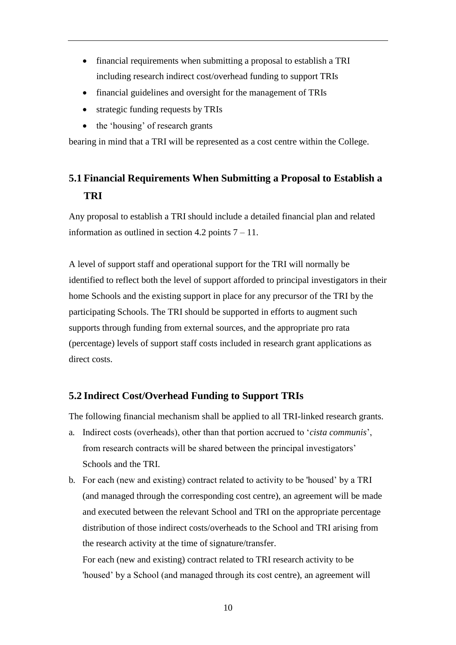- financial requirements when submitting a proposal to establish a TRI including research indirect cost/overhead funding to support TRIs
- financial guidelines and oversight for the management of TRIs
- strategic funding requests by TRIs
- the 'housing' of research grants

bearing in mind that a TRI will be represented as a cost centre within the College.

# <span id="page-10-0"></span>**5.1 Financial Requirements When Submitting a Proposal to Establish a TRI**

Any proposal to establish a TRI should include a detailed financial plan and related information as outlined in section 4.2 points  $7 - 11$ .

A level of support staff and operational support for the TRI will normally be identified to reflect both the level of support afforded to principal investigators in their home Schools and the existing support in place for any precursor of the TRI by the participating Schools. The TRI should be supported in efforts to augment such supports through funding from external sources, and the appropriate pro rata (percentage) levels of support staff costs included in research grant applications as direct costs.

### <span id="page-10-1"></span>**5.2 Indirect Cost/Overhead Funding to Support TRIs**

The following financial mechanism shall be applied to all TRI-linked research grants.

- a. Indirect costs (overheads), other than that portion accrued to '*cista communis*', from research contracts will be shared between the principal investigators' Schools and the TRI.
- b. For each (new and existing) contract related to activity to be 'housed' by a TRI (and managed through the corresponding cost centre), an agreement will be made and executed between the relevant School and TRI on the appropriate percentage distribution of those indirect costs/overheads to the School and TRI arising from the research activity at the time of signature/transfer.

For each (new and existing) contract related to TRI research activity to be 'housed' by a School (and managed through its cost centre), an agreement will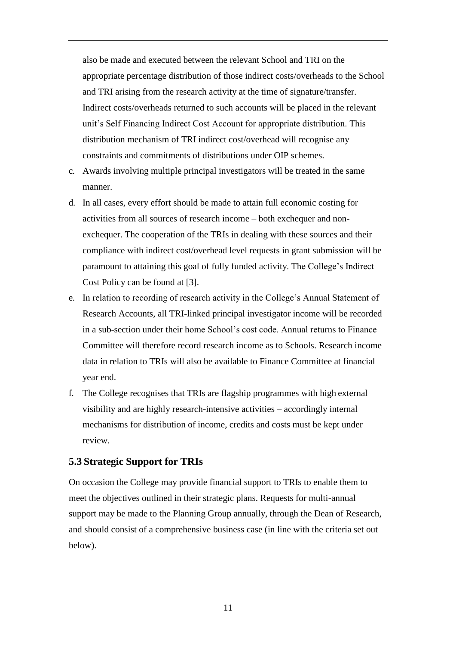also be made and executed between the relevant School and TRI on the appropriate percentage distribution of those indirect costs/overheads to the School and TRI arising from the research activity at the time of signature/transfer. Indirect costs/overheads returned to such accounts will be placed in the relevant unit's Self Financing Indirect Cost Account for appropriate distribution. This distribution mechanism of TRI indirect cost/overhead will recognise any constraints and commitments of distributions under OIP schemes.

- c. Awards involving multiple principal investigators will be treated in the same manner.
- d. In all cases, every effort should be made to attain full economic costing for activities from all sources of research income – both exchequer and nonexchequer. The cooperation of the TRIs in dealing with these sources and their compliance with indirect cost/overhead level requests in grant submission will be paramount to attaining this goal of fully funded activity. The College's Indirect Cost Policy can be found at [3].
- e. In relation to recording of research activity in the College's Annual Statement of Research Accounts, all TRI-linked principal investigator income will be recorded in a sub-section under their home School's cost code. Annual returns to Finance Committee will therefore record research income as to Schools. Research income data in relation to TRIs will also be available to Finance Committee at financial year end.
- f. The College recognises that TRIs are flagship programmes with high external visibility and are highly research-intensive activities – accordingly internal mechanisms for distribution of income, credits and costs must be kept under review.

#### <span id="page-11-0"></span>**5.3 Strategic Support for TRIs**

On occasion the College may provide financial support to TRIs to enable them to meet the objectives outlined in their strategic plans. Requests for multi-annual support may be made to the Planning Group annually, through the Dean of Research, and should consist of a comprehensive business case (in line with the criteria set out below).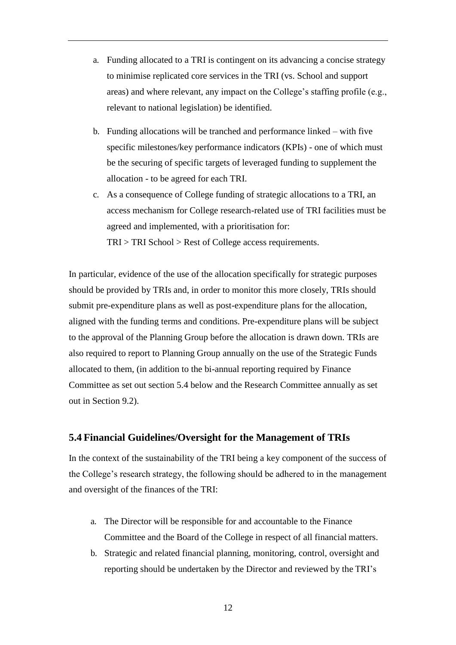- a. Funding allocated to a TRI is contingent on its advancing a concise strategy to minimise replicated core services in the TRI (vs. School and support areas) and where relevant, any impact on the College's staffing profile (e.g., relevant to national legislation) be identified.
- b. Funding allocations will be tranched and performance linked with five specific milestones/key performance indicators (KPIs) - one of which must be the securing of specific targets of leveraged funding to supplement the allocation - to be agreed for each TRI.
- c. As a consequence of College funding of strategic allocations to a TRI, an access mechanism for College research-related use of TRI facilities must be agreed and implemented, with a prioritisation for: TRI > TRI School > Rest of College access requirements.

In particular, evidence of the use of the allocation specifically for strategic purposes should be provided by TRIs and, in order to monitor this more closely, TRIs should submit pre-expenditure plans as well as post-expenditure plans for the allocation, aligned with the funding terms and conditions. Pre-expenditure plans will be subject to the approval of the Planning Group before the allocation is drawn down. TRIs are also required to report to Planning Group annually on the use of the Strategic Funds allocated to them, (in addition to the bi-annual reporting required by Finance Committee as set out section 5.4 below and the Research Committee annually as set out in Section 9.2).

#### <span id="page-12-0"></span>**5.4 Financial Guidelines/Oversight for the Management of TRIs**

In the context of the sustainability of the TRI being a key component of the success of the College's research strategy, the following should be adhered to in the management and oversight of the finances of the TRI:

- a. The Director will be responsible for and accountable to the Finance Committee and the Board of the College in respect of all financial matters.
- b. Strategic and related financial planning, monitoring, control, oversight and reporting should be undertaken by the Director and reviewed by the TRI's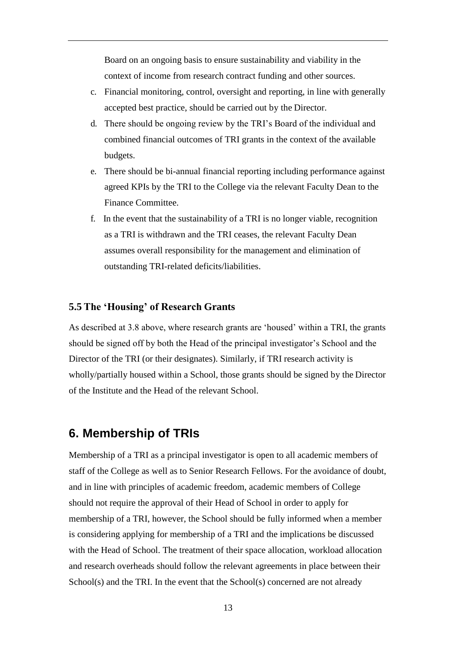Board on an ongoing basis to ensure sustainability and viability in the context of income from research contract funding and other sources.

- c. Financial monitoring, control, oversight and reporting, in line with generally accepted best practice, should be carried out by the Director.
- d. There should be ongoing review by the TRI's Board of the individual and combined financial outcomes of TRI grants in the context of the available budgets.
- e. There should be bi-annual financial reporting including performance against agreed KPIs by the TRI to the College via the relevant Faculty Dean to the Finance Committee.
- f. In the event that the sustainability of a TRI is no longer viable, recognition as a TRI is withdrawn and the TRI ceases, the relevant Faculty Dean assumes overall responsibility for the management and elimination of outstanding TRI-related deficits/liabilities.

#### <span id="page-13-0"></span>**5.5 The 'Housing' of Research Grants**

As described at 3.8 above, where research grants are 'housed' within a TRI, the grants should be signed off by both the Head of the principal investigator's School and the Director of the TRI (or their designates). Similarly, if TRI research activity is wholly/partially housed within a School, those grants should be signed by the Director of the Institute and the Head of the relevant School.

## <span id="page-13-1"></span>**6. Membership of TRIs**

Membership of a TRI as a principal investigator is open to all academic members of staff of the College as well as to Senior Research Fellows. For the avoidance of doubt, and in line with principles of academic freedom, academic members of College should not require the approval of their Head of School in order to apply for membership of a TRI, however, the School should be fully informed when a member is considering applying for membership of a TRI and the implications be discussed with the Head of School. The treatment of their space allocation, workload allocation and research overheads should follow the relevant agreements in place between their School(s) and the TRI. In the event that the School(s) concerned are not already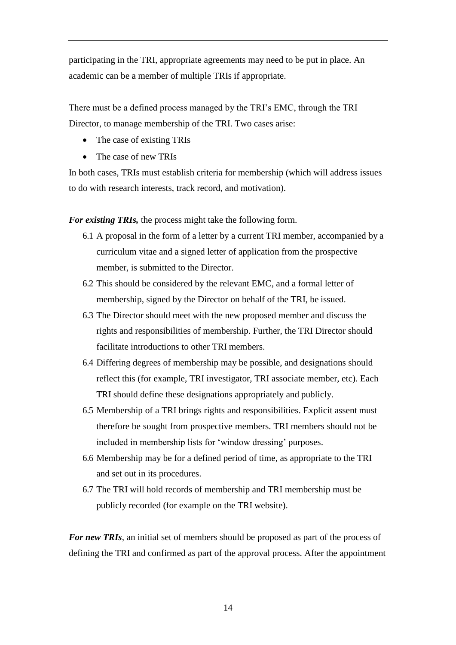participating in the TRI, appropriate agreements may need to be put in place. An academic can be a member of multiple TRIs if appropriate.

There must be a defined process managed by the TRI's EMC, through the TRI Director, to manage membership of the TRI. Two cases arise:

- The case of existing TRIs
- The case of new TRIs

In both cases, TRIs must establish criteria for membership (which will address issues to do with research interests, track record, and motivation).

*For existing TRIs,* the process might take the following form.

- 6.1 A proposal in the form of a letter by a current TRI member, accompanied by a curriculum vitae and a signed letter of application from the prospective member, is submitted to the Director.
- 6.2 This should be considered by the relevant EMC, and a formal letter of membership, signed by the Director on behalf of the TRI, be issued.
- 6.3 The Director should meet with the new proposed member and discuss the rights and responsibilities of membership. Further, the TRI Director should facilitate introductions to other TRI members.
- 6.4 Differing degrees of membership may be possible, and designations should reflect this (for example, TRI investigator, TRI associate member, etc). Each TRI should define these designations appropriately and publicly.
- 6.5 Membership of a TRI brings rights and responsibilities. Explicit assent must therefore be sought from prospective members. TRI members should not be included in membership lists for 'window dressing' purposes.
- 6.6 Membership may be for a defined period of time, as appropriate to the TRI and set out in its procedures.
- 6.7 The TRI will hold records of membership and TRI membership must be publicly recorded (for example on the TRI website).

*For new TRIs*, an initial set of members should be proposed as part of the process of defining the TRI and confirmed as part of the approval process. After the appointment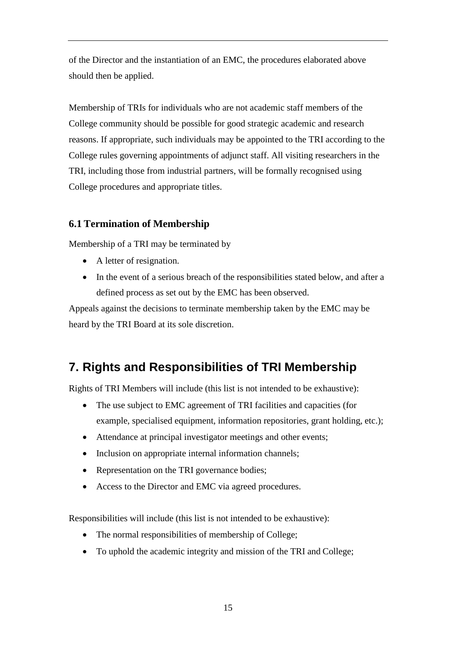of the Director and the instantiation of an EMC, the procedures elaborated above should then be applied.

Membership of TRIs for individuals who are not academic staff members of the College community should be possible for good strategic academic and research reasons. If appropriate, such individuals may be appointed to the TRI according to the College rules governing appointments of adjunct staff. All visiting researchers in the TRI, including those from industrial partners, will be formally recognised using College procedures and appropriate titles.

## <span id="page-15-0"></span>**6.1 Termination of Membership**

Membership of a TRI may be terminated by

- A letter of resignation.
- In the event of a serious breach of the responsibilities stated below, and after a defined process as set out by the EMC has been observed.

Appeals against the decisions to terminate membership taken by the EMC may be heard by the TRI Board at its sole discretion.

# <span id="page-15-1"></span>**7. Rights and Responsibilities of TRI Membership**

Rights of TRI Members will include (this list is not intended to be exhaustive):

- The use subject to EMC agreement of TRI facilities and capacities (for example, specialised equipment, information repositories, grant holding, etc.);
- Attendance at principal investigator meetings and other events;
- Inclusion on appropriate internal information channels;
- Representation on the TRI governance bodies;
- Access to the Director and EMC via agreed procedures.

Responsibilities will include (this list is not intended to be exhaustive):

- The normal responsibilities of membership of College;
- To uphold the academic integrity and mission of the TRI and College;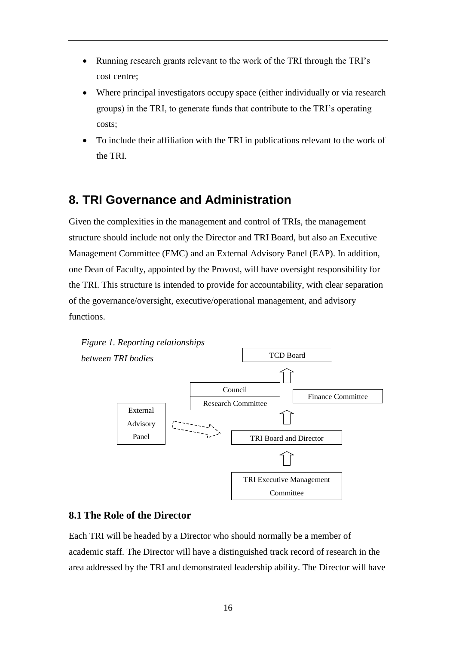- Running research grants relevant to the work of the TRI through the TRI's cost centre;
- Where principal investigators occupy space (either individually or via research groups) in the TRI, to generate funds that contribute to the TRI's operating costs;
- To include their affiliation with the TRI in publications relevant to the work of the TRI.

# <span id="page-16-0"></span>**8. TRI Governance and Administration**

Given the complexities in the management and control of TRIs, the management structure should include not only the Director and TRI Board, but also an Executive Management Committee (EMC) and an External Advisory Panel (EAP). In addition, one Dean of Faculty, appointed by the Provost, will have oversight responsibility for the TRI. This structure is intended to provide for accountability, with clear separation of the governance/oversight, executive/operational management, and advisory functions.



### <span id="page-16-1"></span>**8.1 The Role of the Director**

Each TRI will be headed by a Director who should normally be a member of academic staff. The Director will have a distinguished track record of research in the area addressed by the TRI and demonstrated leadership ability. The Director will have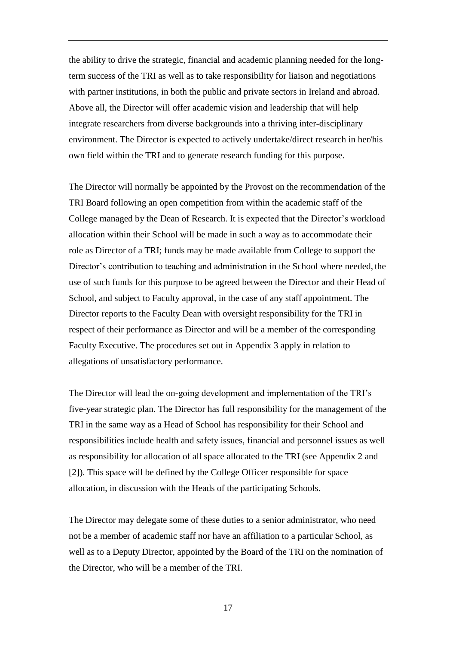the ability to drive the strategic, financial and academic planning needed for the longterm success of the TRI as well as to take responsibility for liaison and negotiations with partner institutions, in both the public and private sectors in Ireland and abroad. Above all, the Director will offer academic vision and leadership that will help integrate researchers from diverse backgrounds into a thriving inter-disciplinary environment. The Director is expected to actively undertake/direct research in her/his own field within the TRI and to generate research funding for this purpose.

The Director will normally be appointed by the Provost on the recommendation of the TRI Board following an open competition from within the academic staff of the College managed by the Dean of Research. It is expected that the Director's workload allocation within their School will be made in such a way as to accommodate their role as Director of a TRI; funds may be made available from College to support the Director's contribution to teaching and administration in the School where needed, the use of such funds for this purpose to be agreed between the Director and their Head of School, and subject to Faculty approval, in the case of any staff appointment. The Director reports to the Faculty Dean with oversight responsibility for the TRI in respect of their performance as Director and will be a member of the corresponding Faculty Executive. The procedures set out in Appendix 3 apply in relation to allegations of unsatisfactory performance.

The Director will lead the on-going development and implementation of the TRI's five-year strategic plan. The Director has full responsibility for the management of the TRI in the same way as a Head of School has responsibility for their School and responsibilities include health and safety issues, financial and personnel issues as well as responsibility for allocation of all space allocated to the TRI (see Appendix 2 and [2]). This space will be defined by the College Officer responsible for space allocation, in discussion with the Heads of the participating Schools.

The Director may delegate some of these duties to a senior administrator, who need not be a member of academic staff nor have an affiliation to a particular School, as well as to a Deputy Director, appointed by the Board of the TRI on the nomination of the Director, who will be a member of the TRI.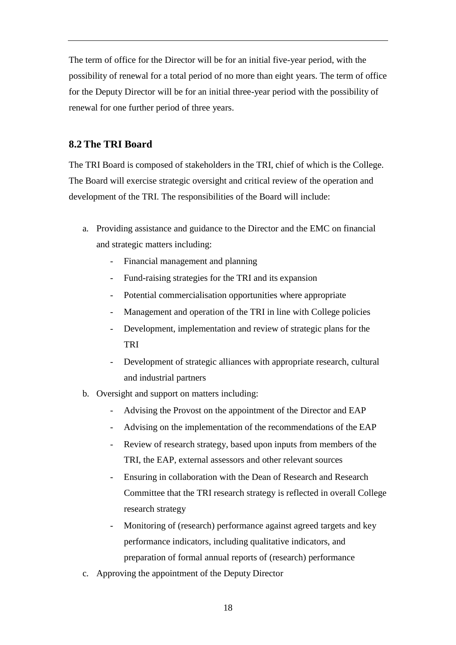The term of office for the Director will be for an initial five-year period, with the possibility of renewal for a total period of no more than eight years. The term of office for the Deputy Director will be for an initial three-year period with the possibility of renewal for one further period of three years.

### <span id="page-18-0"></span>**8.2 The TRI Board**

The TRI Board is composed of stakeholders in the TRI, chief of which is the College. The Board will exercise strategic oversight and critical review of the operation and development of the TRI. The responsibilities of the Board will include:

- a. Providing assistance and guidance to the Director and the EMC on financial and strategic matters including:
	- Financial management and planning
	- Fund-raising strategies for the TRI and its expansion
	- Potential commercialisation opportunities where appropriate
	- Management and operation of the TRI in line with College policies
	- Development, implementation and review of strategic plans for the TRI
	- Development of strategic alliances with appropriate research, cultural and industrial partners
- b. Oversight and support on matters including:
	- Advising the Provost on the appointment of the Director and EAP
	- Advising on the implementation of the recommendations of the EAP
	- Review of research strategy, based upon inputs from members of the TRI, the EAP, external assessors and other relevant sources
	- Ensuring in collaboration with the Dean of Research and Research Committee that the TRI research strategy is reflected in overall College research strategy
	- Monitoring of (research) performance against agreed targets and key performance indicators, including qualitative indicators, and preparation of formal annual reports of (research) performance
- c. Approving the appointment of the Deputy Director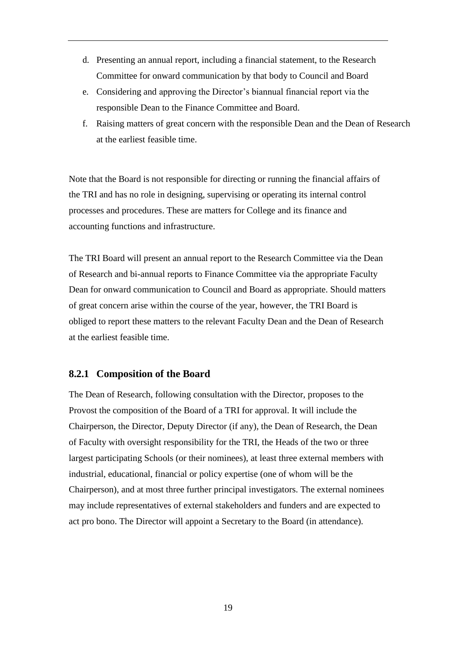- d. Presenting an annual report, including a financial statement, to the Research Committee for onward communication by that body to Council and Board
- e. Considering and approving the Director's biannual financial report via the responsible Dean to the Finance Committee and Board.
- f. Raising matters of great concern with the responsible Dean and the Dean of Research at the earliest feasible time.

Note that the Board is not responsible for directing or running the financial affairs of the TRI and has no role in designing, supervising or operating its internal control processes and procedures. These are matters for College and its finance and accounting functions and infrastructure.

The TRI Board will present an annual report to the Research Committee via the Dean of Research and bi-annual reports to Finance Committee via the appropriate Faculty Dean for onward communication to Council and Board as appropriate. Should matters of great concern arise within the course of the year, however, the TRI Board is obliged to report these matters to the relevant Faculty Dean and the Dean of Research at the earliest feasible time.

#### <span id="page-19-0"></span>**8.2.1 Composition of the Board**

The Dean of Research, following consultation with the Director, proposes to the Provost the composition of the Board of a TRI for approval. It will include the Chairperson, the Director, Deputy Director (if any), the Dean of Research, the Dean of Faculty with oversight responsibility for the TRI, the Heads of the two or three largest participating Schools (or their nominees), at least three external members with industrial, educational, financial or policy expertise (one of whom will be the Chairperson), and at most three further principal investigators. The external nominees may include representatives of external stakeholders and funders and are expected to act pro bono. The Director will appoint a Secretary to the Board (in attendance).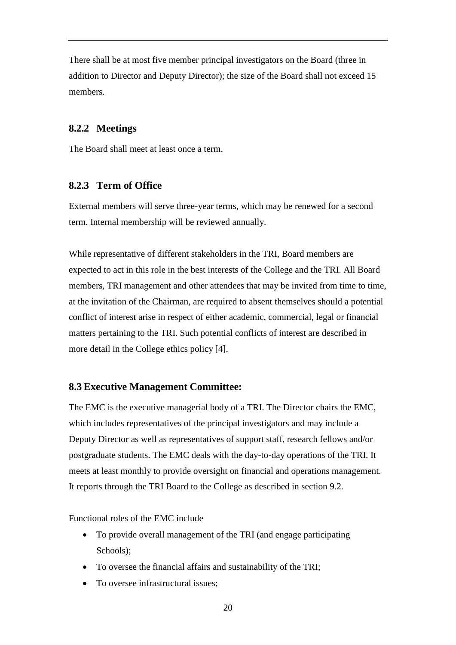There shall be at most five member principal investigators on the Board (three in addition to Director and Deputy Director); the size of the Board shall not exceed 15 members.

### <span id="page-20-0"></span>**8.2.2 Meetings**

The Board shall meet at least once a term.

### <span id="page-20-1"></span>**8.2.3 Term of Office**

External members will serve three-year terms, which may be renewed for a second term. Internal membership will be reviewed annually.

While representative of different stakeholders in the TRI, Board members are expected to act in this role in the best interests of the College and the TRI. All Board members, TRI management and other attendees that may be invited from time to time, at the invitation of the Chairman, are required to absent themselves should a potential conflict of interest arise in respect of either academic, commercial, legal or financial matters pertaining to the TRI. Such potential conflicts of interest are described in more detail in the College ethics policy [4].

### <span id="page-20-2"></span>**8.3 Executive Management Committee:**

The EMC is the executive managerial body of a TRI. The Director chairs the EMC, which includes representatives of the principal investigators and may include a Deputy Director as well as representatives of support staff, research fellows and/or postgraduate students. The EMC deals with the day-to-day operations of the TRI. It meets at least monthly to provide oversight on financial and operations management. It reports through the TRI Board to the College as described in section 9.2.

Functional roles of the EMC include

- To provide overall management of the TRI (and engage participating Schools);
- To oversee the financial affairs and sustainability of the TRI;
- To oversee infrastructural issues: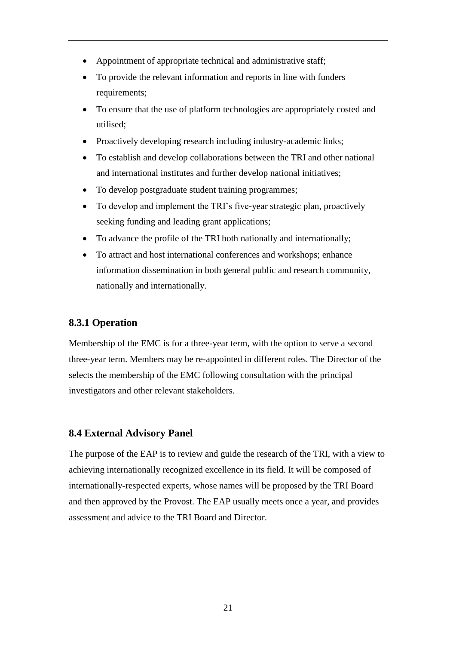- Appointment of appropriate technical and administrative staff;
- To provide the relevant information and reports in line with funders requirements;
- To ensure that the use of platform technologies are appropriately costed and utilised;
- Proactively developing research including industry-academic links;
- To establish and develop collaborations between the TRI and other national and international institutes and further develop national initiatives;
- To develop postgraduate student training programmes;
- To develop and implement the TRI's five-year strategic plan, proactively seeking funding and leading grant applications;
- To advance the profile of the TRI both nationally and internationally;
- To attract and host international conferences and workshops; enhance information dissemination in both general public and research community, nationally and internationally.

### <span id="page-21-0"></span>**8.3.1 Operation**

Membership of the EMC is for a three-year term, with the option to serve a second three-year term. Members may be re-appointed in different roles. The Director of the selects the membership of the EMC following consultation with the principal investigators and other relevant stakeholders.

### <span id="page-21-1"></span>**8.4 External Advisory Panel**

The purpose of the EAP is to review and guide the research of the TRI, with a view to achieving internationally recognized excellence in its field. It will be composed of internationally-respected experts, whose names will be proposed by the TRI Board and then approved by the Provost. The EAP usually meets once a year, and provides assessment and advice to the TRI Board and Director.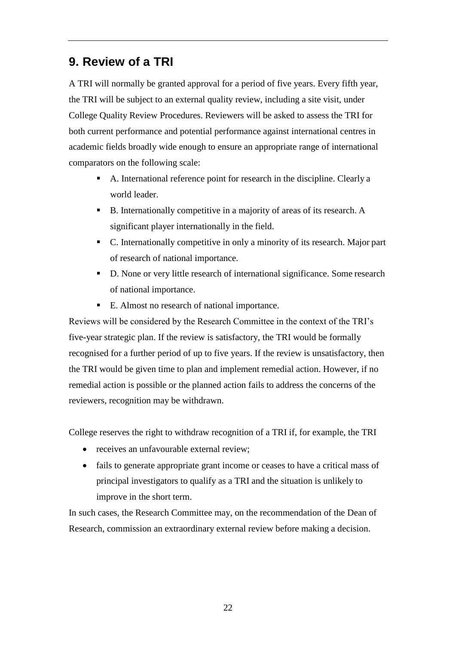# <span id="page-22-0"></span>**9. Review of a TRI**

A TRI will normally be granted approval for a period of five years. Every fifth year, the TRI will be subject to an external quality review, including a site visit, under College Quality Review Procedures. Reviewers will be asked to assess the TRI for both current performance and potential performance against international centres in academic fields broadly wide enough to ensure an appropriate range of international comparators on the following scale:

- A. International reference point for research in the discipline. Clearly a world leader.
- B. Internationally competitive in a majority of areas of its research. A significant player internationally in the field.
- C. Internationally competitive in only a minority of its research. Major part of research of national importance.
- D. None or very little research of international significance. Some research of national importance.
- E. Almost no research of national importance.

Reviews will be considered by the Research Committee in the context of the TRI's five-year strategic plan. If the review is satisfactory, the TRI would be formally recognised for a further period of up to five years. If the review is unsatisfactory, then the TRI would be given time to plan and implement remedial action. However, if no remedial action is possible or the planned action fails to address the concerns of the reviewers, recognition may be withdrawn.

College reserves the right to withdraw recognition of a TRI if, for example, the TRI

- receives an unfavourable external review:
- fails to generate appropriate grant income or ceases to have a critical mass of principal investigators to qualify as a TRI and the situation is unlikely to improve in the short term.

In such cases, the Research Committee may, on the recommendation of the Dean of Research, commission an extraordinary external review before making a decision.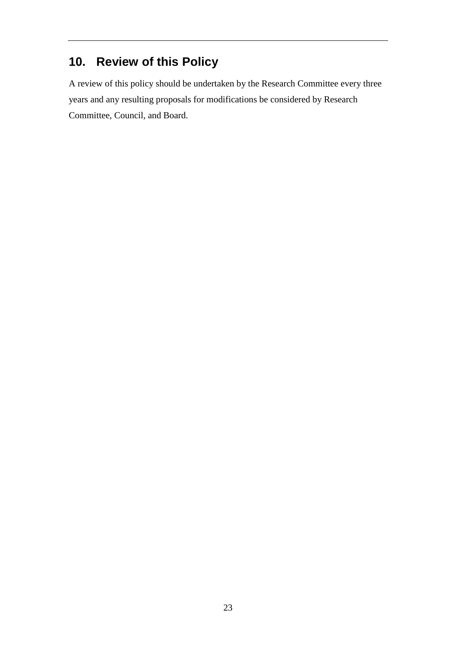# <span id="page-23-0"></span>**10. Review of this Policy**

A review of this policy should be undertaken by the Research Committee every three years and any resulting proposals for modifications be considered by Research Committee, Council, and Board.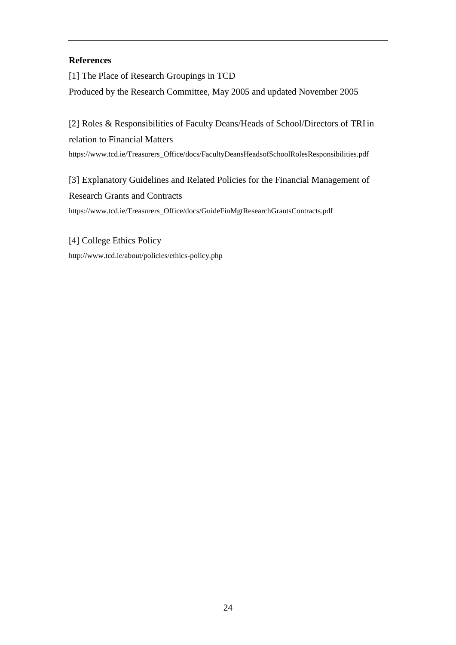#### **References**

[1] The Place of Research Groupings in TCD Produced by the Research Committee, May 2005 and updated November 2005

[2] Roles & Responsibilities of Faculty Deans/Heads of School/Directors of TRIin relation to Financial Matters https:/[/www.tcd.ie/Treasurers\\_Office/docs/FacultyDeansHeadsofSchoolRolesResponsibilities.pdf](http://www.tcd.ie/Treasurers_Office/docs/FacultyDeansHeadsofSchoolRolesResponsibilities.pdf)

[3] Explanatory Guidelines and Related Policies for the Financial Management of Research Grants and Contracts https:/[/www.tcd.ie/Treasurers\\_Office/docs/GuideFinMgtResearchGrantsContracts.pdf](http://www.tcd.ie/Treasurers_Office/docs/GuideFinMgtResearchGrantsContracts.pdf)

[4] College Ethics Policy <http://www.tcd.ie/about/policies/ethics-policy.php>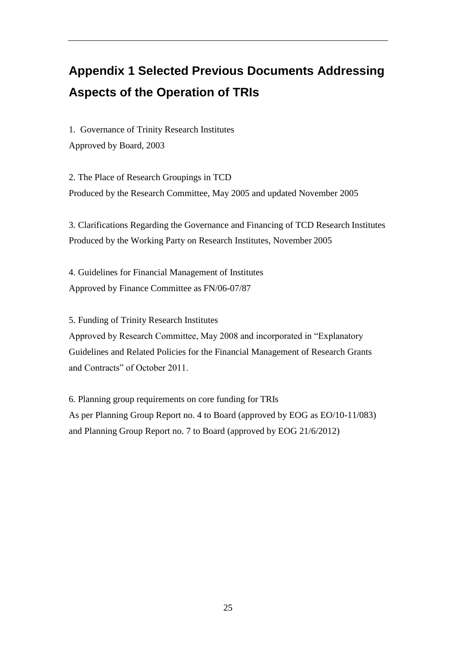# <span id="page-25-0"></span>**Appendix 1 Selected Previous Documents Addressing Aspects of the Operation of TRIs**

1. Governance of Trinity Research Institutes Approved by Board, 2003

2. The Place of Research Groupings in TCD Produced by the Research Committee, May 2005 and updated November 2005

3. Clarifications Regarding the Governance and Financing of TCD Research Institutes Produced by the Working Party on Research Institutes, November 2005

4. Guidelines for Financial Management of Institutes Approved by Finance Committee as FN/06-07/87

5. Funding of Trinity Research Institutes

Approved by Research Committee, May 2008 and incorporated in "Explanatory Guidelines and Related Policies for the Financial Management of Research Grants and Contracts" of October 2011.

6. Planning group requirements on core funding for TRIs As per Planning Group Report no. 4 to Board (approved by EOG as EO/10-11/083) and Planning Group Report no. 7 to Board (approved by EOG 21/6/2012)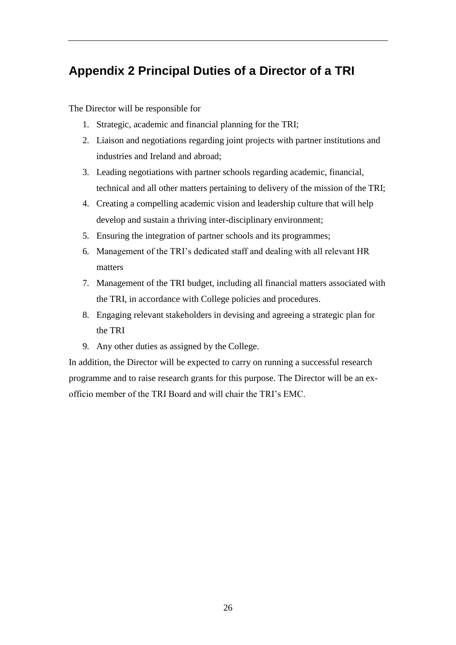# <span id="page-26-0"></span>**Appendix 2 Principal Duties of a Director of a TRI**

The Director will be responsible for

- 1. Strategic, academic and financial planning for the TRI;
- 2. Liaison and negotiations regarding joint projects with partner institutions and industries and Ireland and abroad;
- 3. Leading negotiations with partner schools regarding academic, financial, technical and all other matters pertaining to delivery of the mission of the TRI;
- 4. Creating a compelling academic vision and leadership culture that will help develop and sustain a thriving inter-disciplinary environment;
- 5. Ensuring the integration of partner schools and its programmes;
- 6. Management of the TRI's dedicated staff and dealing with all relevant HR matters
- 7. Management of the TRI budget, including all financial matters associated with the TRI, in accordance with College policies and procedures.
- 8. Engaging relevant stakeholders in devising and agreeing a strategic plan for the TRI
- 9. Any other duties as assigned by the College.

In addition, the Director will be expected to carry on running a successful research programme and to raise research grants for this purpose. The Director will be an exofficio member of the TRI Board and will chair the TRI's EMC.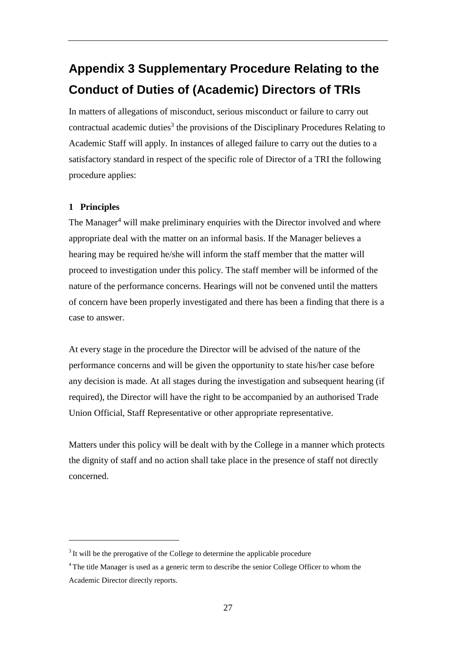# <span id="page-27-0"></span>**Appendix 3 Supplementary Procedure Relating to the Conduct of Duties of (Academic) Directors of TRIs**

In matters of allegations of misconduct, serious misconduct or failure to carry out contractual academic duties<sup>3</sup> the provisions of the Disciplinary Procedures Relating to Academic Staff will apply. In instances of alleged failure to carry out the duties to a satisfactory standard in respect of the specific role of Director of a TRI the following procedure applies:

#### **1 Principles**

The Manager<sup>4</sup> will make preliminary enquiries with the Director involved and where appropriate deal with the matter on an informal basis. If the Manager believes a hearing may be required he/she will inform the staff member that the matter will proceed to investigation under this policy. The staff member will be informed of the nature of the performance concerns. Hearings will not be convened until the matters of concern have been properly investigated and there has been a finding that there is a case to answer.

At every stage in the procedure the Director will be advised of the nature of the performance concerns and will be given the opportunity to state his/her case before any decision is made. At all stages during the investigation and subsequent hearing (if required), the Director will have the right to be accompanied by an authorised Trade Union Official, Staff Representative or other appropriate representative.

Matters under this policy will be dealt with by the College in a manner which protects the dignity of staff and no action shall take place in the presence of staff not directly concerned.

 $3$  It will be the prerogative of the College to determine the applicable procedure

<sup>4</sup>The title Manager is used as a generic term to describe the senior College Officer to whom the Academic Director directly reports.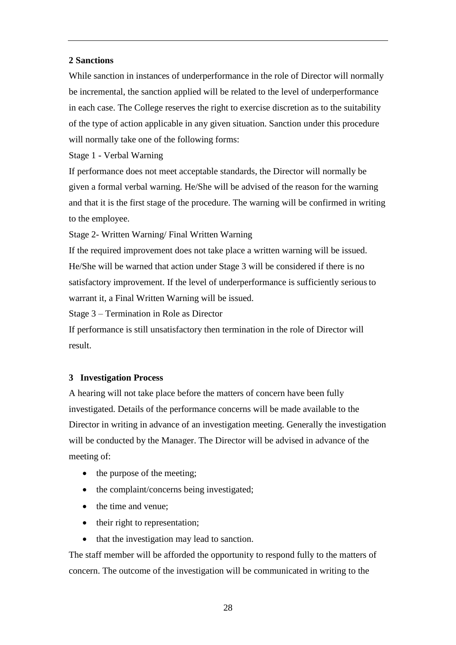#### **2 Sanctions**

While sanction in instances of underperformance in the role of Director will normally be incremental, the sanction applied will be related to the level of underperformance in each case. The College reserves the right to exercise discretion as to the suitability of the type of action applicable in any given situation. Sanction under this procedure will normally take one of the following forms:

Stage 1 - Verbal Warning

If performance does not meet acceptable standards, the Director will normally be given a formal verbal warning. He/She will be advised of the reason for the warning and that it is the first stage of the procedure. The warning will be confirmed in writing to the employee.

Stage 2- Written Warning/ Final Written Warning

If the required improvement does not take place a written warning will be issued. He/She will be warned that action under Stage 3 will be considered if there is no satisfactory improvement. If the level of underperformance is sufficiently seriousto warrant it, a Final Written Warning will be issued.

Stage 3 – Termination in Role as Director

If performance is still unsatisfactory then termination in the role of Director will result.

#### **3 Investigation Process**

A hearing will not take place before the matters of concern have been fully investigated. Details of the performance concerns will be made available to the Director in writing in advance of an investigation meeting. Generally the investigation will be conducted by the Manager. The Director will be advised in advance of the meeting of:

- the purpose of the meeting;
- the complaint/concerns being investigated;
- the time and venue:
- their right to representation;
- that the investigation may lead to sanction.

The staff member will be afforded the opportunity to respond fully to the matters of concern. The outcome of the investigation will be communicated in writing to the